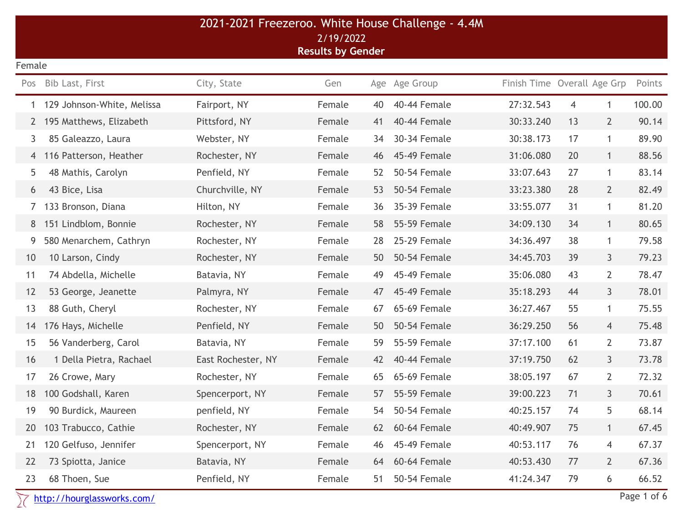|        | 2021-2021 Freezeroo. White House Challenge - 4.4M<br>2/19/2022 |                    |                          |    |               |                             |                |                |        |  |
|--------|----------------------------------------------------------------|--------------------|--------------------------|----|---------------|-----------------------------|----------------|----------------|--------|--|
|        |                                                                |                    | <b>Results by Gender</b> |    |               |                             |                |                |        |  |
| Female |                                                                |                    |                          |    |               |                             |                |                |        |  |
| Pos    | Bib Last, First                                                | City, State        | Gen                      |    | Age Age Group | Finish Time Overall Age Grp |                |                | Points |  |
| 1      | 129 Johnson-White, Melissa                                     | Fairport, NY       | Female                   | 40 | 40-44 Female  | 27:32.543                   | $\overline{4}$ | 1              | 100.00 |  |
|        | 195 Matthews, Elizabeth                                        | Pittsford, NY      | Female                   | 41 | 40-44 Female  | 30:33.240                   | 13             | $2^{\circ}$    | 90.14  |  |
| 3      | 85 Galeazzo, Laura                                             | Webster, NY        | Female                   | 34 | 30-34 Female  | 30:38.173                   | 17             | $\mathbf{1}$   | 89.90  |  |
|        | 4 116 Patterson, Heather                                       | Rochester, NY      | Female                   | 46 | 45-49 Female  | 31:06.080                   | 20             | $\mathbf{1}$   | 88.56  |  |
| 5      | 48 Mathis, Carolyn                                             | Penfield, NY       | Female                   | 52 | 50-54 Female  | 33:07.643                   | 27             | $\mathbf{1}$   | 83.14  |  |
| 6      | 43 Bice, Lisa                                                  | Churchville, NY    | Female                   | 53 | 50-54 Female  | 33:23.380                   | 28             | $2^{\circ}$    | 82.49  |  |
|        | 133 Bronson, Diana                                             | Hilton, NY         | Female                   | 36 | 35-39 Female  | 33:55.077                   | 31             | $\mathbf{1}$   | 81.20  |  |
| 8      | 151 Lindblom, Bonnie                                           | Rochester, NY      | Female                   | 58 | 55-59 Female  | 34:09.130                   | 34             | $\mathbf{1}$   | 80.65  |  |
| 9      | 580 Menarchem, Cathryn                                         | Rochester, NY      | Female                   | 28 | 25-29 Female  | 34:36.497                   | 38             | $\mathbf{1}$   | 79.58  |  |
| 10     | 10 Larson, Cindy                                               | Rochester, NY      | Female                   | 50 | 50-54 Female  | 34:45.703                   | 39             | 3 <sup>1</sup> | 79.23  |  |
| 11     | 74 Abdella, Michelle                                           | Batavia, NY        | Female                   | 49 | 45-49 Female  | 35:06.080                   | 43             | $\overline{2}$ | 78.47  |  |
| 12     | 53 George, Jeanette                                            | Palmyra, NY        | Female                   | 47 | 45-49 Female  | 35:18.293                   | 44             | 3 <sup>1</sup> | 78.01  |  |
| 13     | 88 Guth, Cheryl                                                | Rochester, NY      | Female                   | 67 | 65-69 Female  | 36:27.467                   | 55             | $\mathbf{1}$   | 75.55  |  |
| 14     | 176 Hays, Michelle                                             | Penfield, NY       | Female                   | 50 | 50-54 Female  | 36:29.250                   | 56             | $\overline{4}$ | 75.48  |  |
| 15     | 56 Vanderberg, Carol                                           | Batavia, NY        | Female                   | 59 | 55-59 Female  | 37:17.100                   | 61             | $\mathbf{2}$   | 73.87  |  |
| 16     | 1 Della Pietra, Rachael                                        | East Rochester, NY | Female                   | 42 | 40-44 Female  | 37:19.750                   | 62             | 3 <sup>1</sup> | 73.78  |  |
| 17     | 26 Crowe, Mary                                                 | Rochester, NY      | Female                   | 65 | 65-69 Female  | 38:05.197                   | 67             | $\overline{2}$ | 72.32  |  |
| 18     | 100 Godshall, Karen                                            | Spencerport, NY    | Female                   | 57 | 55-59 Female  | 39:00.223                   | 71             | 3              | 70.61  |  |
| 19     | 90 Burdick, Maureen                                            | penfield, NY       | Female                   | 54 | 50-54 Female  | 40:25.157                   | 74             | 5              | 68.14  |  |
| 20     | 103 Trabucco, Cathie                                           | Rochester, NY      | Female                   | 62 | 60-64 Female  | 40:49.907                   | 75             | $\mathbf{1}$   | 67.45  |  |
| 21     | 120 Gelfuso, Jennifer                                          | Spencerport, NY    | Female                   | 46 | 45-49 Female  | 40:53.117                   | 76             | 4              | 67.37  |  |
| 22     | 73 Spiotta, Janice                                             | Batavia, NY        | Female                   | 64 | 60-64 Female  | 40:53.430                   | 77             | $\overline{2}$ | 67.36  |  |
| 23     | 68 Thoen, Sue                                                  | Penfield, NY       | Female                   | 51 | 50-54 Female  | 41:24.347                   | 79             | 6              | 66.52  |  |
|        | Page 1 of 6<br>http://hourglassworks.com/                      |                    |                          |    |               |                             |                |                |        |  |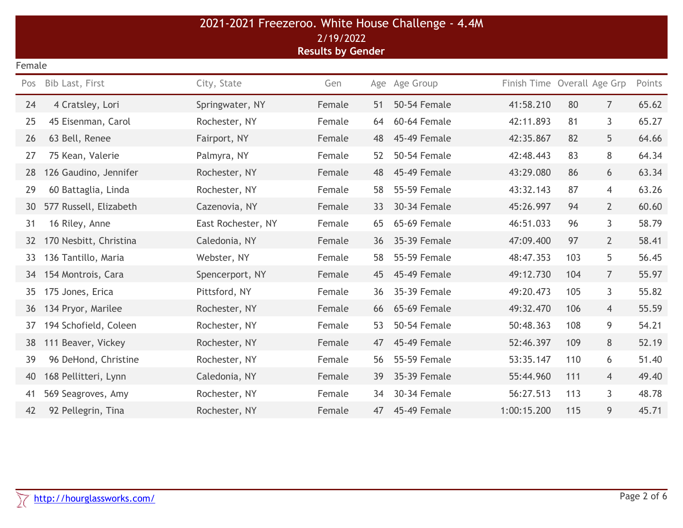| 2021-2021 Freezeroo. White House Challenge - 4.4M<br>2/19/2022<br><b>Results by Gender</b> |                        |                    |        |     |                     |                             |     |                |        |  |  |
|--------------------------------------------------------------------------------------------|------------------------|--------------------|--------|-----|---------------------|-----------------------------|-----|----------------|--------|--|--|
|                                                                                            | Female                 |                    |        |     |                     |                             |     |                |        |  |  |
| Pos                                                                                        | Bib Last, First        | City, State        | Gen    | Age | Age Group           | Finish Time Overall Age Grp |     |                | Points |  |  |
| 24                                                                                         | 4 Cratsley, Lori       | Springwater, NY    | Female | 51  | 50-54 Female        | 41:58.210                   | 80  | $\overline{7}$ | 65.62  |  |  |
| 25                                                                                         | 45 Eisenman, Carol     | Rochester, NY      | Female | 64  | 60-64 Female        | 42:11.893                   | 81  | 3              | 65.27  |  |  |
| 26                                                                                         | 63 Bell, Renee         | Fairport, NY       | Female | 48  | 45-49 Female        | 42:35.867                   | 82  | 5              | 64.66  |  |  |
| 27                                                                                         | 75 Kean, Valerie       | Palmyra, NY        | Female | 52  | <b>50-54 Female</b> | 42:48.443                   | 83  | 8              | 64.34  |  |  |
| 28                                                                                         | 126 Gaudino, Jennifer  | Rochester, NY      | Female | 48  | 45-49 Female        | 43:29.080                   | 86  | 6              | 63.34  |  |  |
| 29                                                                                         | 60 Battaglia, Linda    | Rochester, NY      | Female | 58  | 55-59 Female        | 43:32.143                   | 87  | $\overline{4}$ | 63.26  |  |  |
| 30                                                                                         | 577 Russell, Elizabeth | Cazenovia, NY      | Female | 33  | 30-34 Female        | 45:26.997                   | 94  | $\overline{2}$ | 60.60  |  |  |
| 31                                                                                         | 16 Riley, Anne         | East Rochester, NY | Female | 65  | 65-69 Female        | 46:51.033                   | 96  | 3              | 58.79  |  |  |
| 32                                                                                         | 170 Nesbitt, Christina | Caledonia, NY      | Female | 36  | 35-39 Female        | 47:09.400                   | 97  | $\overline{2}$ | 58.41  |  |  |
| 33                                                                                         | 136 Tantillo, Maria    | Webster, NY        | Female | 58  | 55-59 Female        | 48:47.353                   | 103 | 5              | 56.45  |  |  |
| 34                                                                                         | 154 Montrois, Cara     | Spencerport, NY    | Female | 45  | 45-49 Female        | 49:12.730                   | 104 | $\overline{7}$ | 55.97  |  |  |
| 35                                                                                         | 175 Jones, Erica       | Pittsford, NY      | Female | 36  | 35-39 Female        | 49:20.473                   | 105 | 3              | 55.82  |  |  |
| 36                                                                                         | 134 Pryor, Marilee     | Rochester, NY      | Female | 66  | 65-69 Female        | 49:32.470                   | 106 | $\overline{4}$ | 55.59  |  |  |
| 37                                                                                         | 194 Schofield, Coleen  | Rochester, NY      | Female | 53  | 50-54 Female        | 50:48.363                   | 108 | 9              | 54.21  |  |  |
| 38                                                                                         | 111 Beaver, Vickey     | Rochester, NY      | Female | 47  | 45-49 Female        | 52:46.397                   | 109 | 8              | 52.19  |  |  |
| 39                                                                                         | 96 DeHond, Christine   | Rochester, NY      | Female | 56  | 55-59 Female        | 53:35.147                   | 110 | 6              | 51.40  |  |  |
| 40                                                                                         | 168 Pellitteri, Lynn   | Caledonia, NY      | Female | 39  | 35-39 Female        | 55:44.960                   | 111 | 4              | 49.40  |  |  |
| 41                                                                                         | 569 Seagroves, Amy     | Rochester, NY      | Female | 34  | 30-34 Female        | 56:27.513                   | 113 | 3              | 48.78  |  |  |
| 42                                                                                         | 92 Pellegrin, Tina     | Rochester, NY      | Female | 47  | 45-49 Female        | 1:00:15.200                 | 115 | 9              | 45.71  |  |  |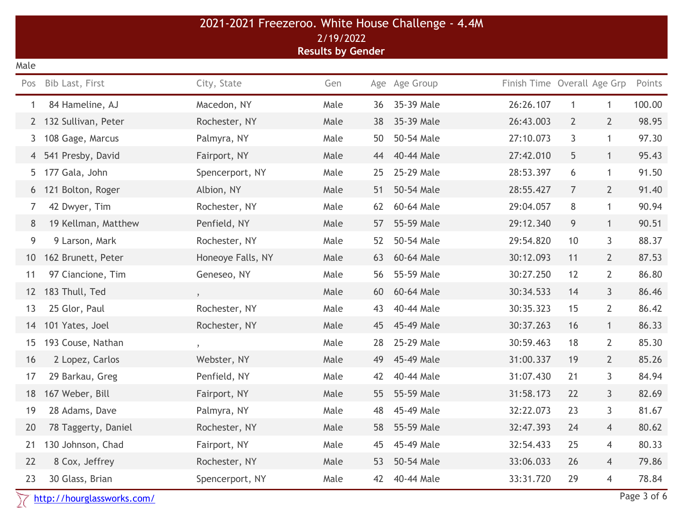|                                       |                            | 2021-2021 Freezeroo. White House Challenge - 4.4M |      |    |               |                             |                |                |             |
|---------------------------------------|----------------------------|---------------------------------------------------|------|----|---------------|-----------------------------|----------------|----------------|-------------|
| 2/19/2022<br><b>Results by Gender</b> |                            |                                                   |      |    |               |                             |                |                |             |
| Male                                  |                            |                                                   |      |    |               |                             |                |                |             |
| Pos                                   | Bib Last, First            | City, State                                       | Gen  |    | Age Age Group | Finish Time Overall Age Grp |                |                | Points      |
| 1                                     | 84 Hameline, AJ            | Macedon, NY                                       | Male | 36 | 35-39 Male    | 26:26.107                   | $\mathbf{1}$   | 1              | 100.00      |
| $2^{\circ}$                           | 132 Sullivan, Peter        | Rochester, NY                                     | Male | 38 | 35-39 Male    | 26:43.003                   | $\overline{2}$ | $2^{\circ}$    | 98.95       |
| 3                                     | 108 Gage, Marcus           | Palmyra, NY                                       | Male | 50 | 50-54 Male    | 27:10.073                   | 3              | $\mathbf{1}$   | 97.30       |
| 4                                     | 541 Presby, David          | Fairport, NY                                      | Male | 44 | 40-44 Male    | 27:42.010                   | 5              | $\mathbf{1}$   | 95.43       |
| 5.                                    | 177 Gala, John             | Spencerport, NY                                   | Male | 25 | 25-29 Male    | 28:53.397                   | 6              | $\mathbf{1}$   | 91.50       |
| 6                                     | 121 Bolton, Roger          | Albion, NY                                        | Male | 51 | 50-54 Male    | 28:55.427                   | $\overline{7}$ | $2^{\circ}$    | 91.40       |
| 7                                     | 42 Dwyer, Tim              | Rochester, NY                                     | Male | 62 | 60-64 Male    | 29:04.057                   | 8              | $\overline{1}$ | 90.94       |
| 8                                     | 19 Kellman, Matthew        | Penfield, NY                                      | Male | 57 | 55-59 Male    | 29:12.340                   | 9              | $\mathbf{1}$   | 90.51       |
| 9                                     | 9 Larson, Mark             | Rochester, NY                                     | Male | 52 | 50-54 Male    | 29:54.820                   | 10             | 3              | 88.37       |
| 10 <sup>°</sup>                       | 162 Brunett, Peter         | Honeoye Falls, NY                                 | Male | 63 | 60-64 Male    | 30:12.093                   | 11             | $2^{\circ}$    | 87.53       |
| 11                                    | 97 Ciancione, Tim          | Geneseo, NY                                       | Male | 56 | 55-59 Male    | 30:27.250                   | 12             | $\overline{2}$ | 86.80       |
| 12                                    | 183 Thull, Ted             | $\lambda$                                         | Male | 60 | 60-64 Male    | 30:34.533                   | 14             | 3 <sup>1</sup> | 86.46       |
| 13                                    | 25 Glor, Paul              | Rochester, NY                                     | Male | 43 | 40-44 Male    | 30:35.323                   | 15             | $\overline{2}$ | 86.42       |
| 14                                    | 101 Yates, Joel            | Rochester, NY                                     | Male | 45 | 45-49 Male    | 30:37.263                   | 16             | $\mathbf{1}$   | 86.33       |
| 15                                    | 193 Couse, Nathan          | $\pmb{y}$                                         | Male | 28 | 25-29 Male    | 30:59.463                   | 18             | $\overline{2}$ | 85.30       |
| 16                                    | 2 Lopez, Carlos            | Webster, NY                                       | Male | 49 | 45-49 Male    | 31:00.337                   | 19             | $\overline{2}$ | 85.26       |
| 17                                    | 29 Barkau, Greg            | Penfield, NY                                      | Male | 42 | 40-44 Male    | 31:07.430                   | 21             | 3              | 84.94       |
| 18                                    | 167 Weber, Bill            | Fairport, NY                                      | Male | 55 | 55-59 Male    | 31:58.173                   | 22             | 3              | 82.69       |
| 19                                    | 28 Adams, Dave             | Palmyra, NY                                       | Male | 48 | 45-49 Male    | 32:22.073                   | 23             | 3              | 81.67       |
| 20                                    | 78 Taggerty, Daniel        | Rochester, NY                                     | Male | 58 | 55-59 Male    | 32:47.393                   | 24             | $\overline{4}$ | 80.62       |
| 21                                    | 130 Johnson, Chad          | Fairport, NY                                      | Male | 45 | 45-49 Male    | 32:54.433                   | 25             | $\overline{4}$ | 80.33       |
| 22                                    | 8 Cox, Jeffrey             | Rochester, NY                                     | Male | 53 | 50-54 Male    | 33:06.033                   | 26             | $\overline{4}$ | 79.86       |
| 23                                    | 30 Glass, Brian            | Spencerport, NY                                   | Male | 42 | 40-44 Male    | 33:31.720                   | 29             | $\overline{4}$ | 78.84       |
|                                       | http://hourglassworks.com/ |                                                   |      |    |               |                             |                |                | Page 3 of 6 |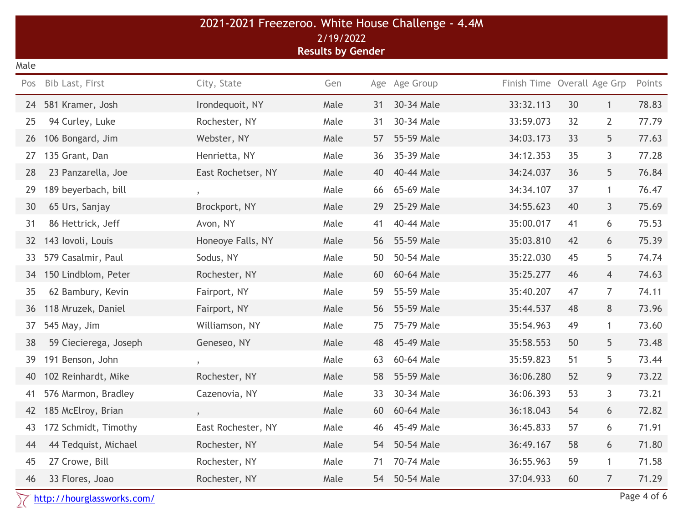|      |                            | 2021-2021 Freezeroo. White House Challenge - 4.4M |                                       |    |               |                             |    |                |             |
|------|----------------------------|---------------------------------------------------|---------------------------------------|----|---------------|-----------------------------|----|----------------|-------------|
|      |                            |                                                   | 2/19/2022<br><b>Results by Gender</b> |    |               |                             |    |                |             |
| Male |                            |                                                   |                                       |    |               |                             |    |                |             |
| Pos  | Bib Last, First            | City, State                                       | Gen                                   |    | Age Age Group | Finish Time Overall Age Grp |    |                | Points      |
| 24   | 581 Kramer, Josh           | Irondequoit, NY                                   | Male                                  | 31 | 30-34 Male    | 33:32.113                   | 30 | $\mathbf{1}$   | 78.83       |
| 25   | 94 Curley, Luke            | Rochester, NY                                     | Male                                  | 31 | 30-34 Male    | 33:59.073                   | 32 | $\overline{2}$ | 77.79       |
| 26   | 106 Bongard, Jim           | Webster, NY                                       | Male                                  | 57 | 55-59 Male    | 34:03.173                   | 33 | 5              | 77.63       |
| 27   | 135 Grant, Dan             | Henrietta, NY                                     | Male                                  | 36 | 35-39 Male    | 34:12.353                   | 35 | 3              | 77.28       |
| 28   | 23 Panzarella, Joe         | East Rochetser, NY                                | Male                                  | 40 | 40-44 Male    | 34:24.037                   | 36 | 5              | 76.84       |
| 29   | 189 beyerbach, bill        | $\gamma$                                          | Male                                  | 66 | 65-69 Male    | 34:34.107                   | 37 | $\mathbf{1}$   | 76.47       |
| 30   | 65 Urs, Sanjay             | Brockport, NY                                     | Male                                  | 29 | 25-29 Male    | 34:55.623                   | 40 | $\mathsf{3}$   | 75.69       |
| 31   | 86 Hettrick, Jeff          | Avon, NY                                          | Male                                  | 41 | 40-44 Male    | 35:00.017                   | 41 | 6              | 75.53       |
| 32   | 143 lovoli, Louis          | Honeoye Falls, NY                                 | Male                                  | 56 | 55-59 Male    | 35:03.810                   | 42 | 6              | 75.39       |
| 33   | 579 Casalmir, Paul         | Sodus, NY                                         | Male                                  | 50 | 50-54 Male    | 35:22.030                   | 45 | 5              | 74.74       |
| 34   | 150 Lindblom, Peter        | Rochester, NY                                     | Male                                  | 60 | 60-64 Male    | 35:25.277                   | 46 | $\overline{4}$ | 74.63       |
| 35   | 62 Bambury, Kevin          | Fairport, NY                                      | Male                                  | 59 | 55-59 Male    | 35:40.207                   | 47 | 7              | 74.11       |
| 36   | 118 Mruzek, Daniel         | Fairport, NY                                      | Male                                  | 56 | 55-59 Male    | 35:44.537                   | 48 | 8              | 73.96       |
| 37   | 545 May, Jim               | Williamson, NY                                    | Male                                  | 75 | 75-79 Male    | 35:54.963                   | 49 | $\mathbf{1}$   | 73.60       |
| 38   | 59 Ciecierega, Joseph      | Geneseo, NY                                       | Male                                  | 48 | 45-49 Male    | 35:58.553                   | 50 | 5              | 73.48       |
| 39   | 191 Benson, John           | $\gamma$                                          | Male                                  | 63 | 60-64 Male    | 35:59.823                   | 51 | 5              | 73.44       |
| 40   | 102 Reinhardt, Mike        | Rochester, NY                                     | Male                                  | 58 | 55-59 Male    | 36:06.280                   | 52 | 9              | 73.22       |
| 41   | 576 Marmon, Bradley        | Cazenovia, NY                                     | Male                                  | 33 | 30-34 Male    | 36:06.393                   | 53 | 3              | 73.21       |
| 42   | 185 McElroy, Brian         | $\pmb{y}$                                         | Male                                  | 60 | 60-64 Male    | 36:18.043                   | 54 | 6              | 72.82       |
| 43   | 172 Schmidt, Timothy       | East Rochester, NY                                | Male                                  | 46 | 45-49 Male    | 36:45.833                   | 57 | 6              | 71.91       |
| 44   | 44 Tedquist, Michael       | Rochester, NY                                     | Male                                  | 54 | 50-54 Male    | 36:49.167                   | 58 | 6              | 71.80       |
| 45   | 27 Crowe, Bill             | Rochester, NY                                     | Male                                  | 71 | 70-74 Male    | 36:55.963                   | 59 | $\mathbf{1}$   | 71.58       |
| 46   | 33 Flores, Joao            | Rochester, NY                                     | Male                                  | 54 | 50-54 Male    | 37:04.933                   | 60 | $\overline{7}$ | 71.29       |
|      | http://hourglassworks.com/ |                                                   |                                       |    |               |                             |    |                | Page 4 of 6 |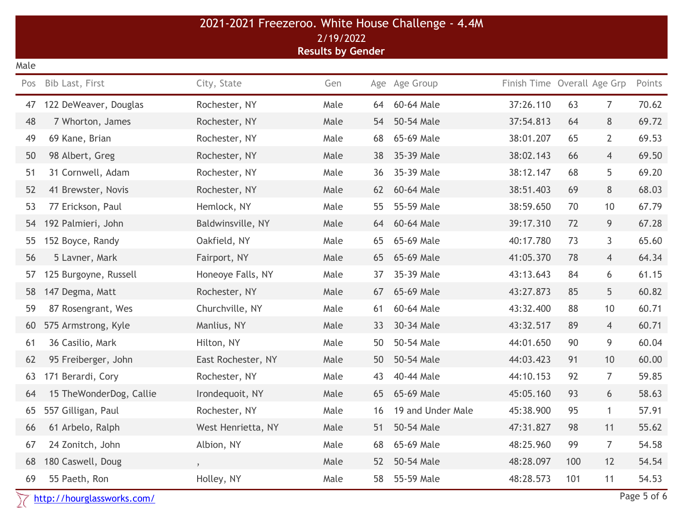|      |                            | 2021-2021 Freezeroo. White House Challenge - 4.4M |                          |    |                   |                             |     |                |             |
|------|----------------------------|---------------------------------------------------|--------------------------|----|-------------------|-----------------------------|-----|----------------|-------------|
|      |                            |                                                   | 2/19/2022                |    |                   |                             |     |                |             |
| Male |                            |                                                   | <b>Results by Gender</b> |    |                   |                             |     |                |             |
| Pos  | Bib Last, First            | City, State                                       | Gen                      |    | Age Age Group     | Finish Time Overall Age Grp |     |                | Points      |
| 47   | 122 DeWeaver, Douglas      | Rochester, NY                                     | Male                     | 64 | 60-64 Male        | 37:26.110                   | 63  | $\overline{7}$ | 70.62       |
| 48   | 7 Whorton, James           | Rochester, NY                                     | Male                     | 54 | 50-54 Male        | 37:54.813                   | 64  | 8              | 69.72       |
| 49   | 69 Kane, Brian             | Rochester, NY                                     | Male                     | 68 | 65-69 Male        | 38:01.207                   | 65  | $\overline{2}$ | 69.53       |
| 50   | 98 Albert, Greg            | Rochester, NY                                     | Male                     | 38 | 35-39 Male        | 38:02.143                   | 66  | $\overline{4}$ | 69.50       |
| 51   | 31 Cornwell, Adam          | Rochester, NY                                     | Male                     | 36 | 35-39 Male        | 38:12.147                   | 68  | 5              | 69.20       |
| 52   | 41 Brewster, Novis         | Rochester, NY                                     | Male                     | 62 | 60-64 Male        | 38:51.403                   | 69  | 8              | 68.03       |
| 53   | 77 Erickson, Paul          | Hemlock, NY                                       | Male                     | 55 | 55-59 Male        | 38:59.650                   | 70  | 10             | 67.79       |
| 54   | 192 Palmieri, John         | Baldwinsville, NY                                 | Male                     | 64 | 60-64 Male        | 39:17.310                   | 72  | 9              | 67.28       |
| 55   | 152 Boyce, Randy           | Oakfield, NY                                      | Male                     | 65 | 65-69 Male        | 40:17.780                   | 73  | 3              | 65.60       |
| 56   | 5 Lavner, Mark             | Fairport, NY                                      | Male                     | 65 | 65-69 Male        | 41:05.370                   | 78  | $\overline{4}$ | 64.34       |
| 57   | 125 Burgoyne, Russell      | Honeoye Falls, NY                                 | Male                     | 37 | 35-39 Male        | 43:13.643                   | 84  | 6              | 61.15       |
| 58   | 147 Degma, Matt            | Rochester, NY                                     | Male                     | 67 | 65-69 Male        | 43:27.873                   | 85  | 5              | 60.82       |
| 59   | 87 Rosengrant, Wes         | Churchville, NY                                   | Male                     | 61 | 60-64 Male        | 43:32.400                   | 88  | 10             | 60.71       |
| 60   | 575 Armstrong, Kyle        | Manlius, NY                                       | Male                     | 33 | 30-34 Male        | 43:32.517                   | 89  | $\overline{4}$ | 60.71       |
| 61   | 36 Casilio, Mark           | Hilton, NY                                        | Male                     | 50 | 50-54 Male        | 44:01.650                   | 90  | 9              | 60.04       |
| 62   | 95 Freiberger, John        | East Rochester, NY                                | Male                     | 50 | 50-54 Male        | 44:03.423                   | 91  | 10             | 60.00       |
| 63   | 171 Berardi, Cory          | Rochester, NY                                     | Male                     | 43 | 40-44 Male        | 44:10.153                   | 92  | $\overline{7}$ | 59.85       |
| 64   | 15 TheWonderDog, Callie    | Irondequoit, NY                                   | Male                     | 65 | 65-69 Male        | 45:05.160                   | 93  | 6              | 58.63       |
| 65   | 557 Gilligan, Paul         | Rochester, NY                                     | Male                     | 16 | 19 and Under Male | 45:38.900                   | 95  | 1              | 57.91       |
| 66   | 61 Arbelo, Ralph           | West Henrietta, NY                                | Male                     | 51 | 50-54 Male        | 47:31.827                   | 98  | 11             | 55.62       |
| 67   | 24 Zonitch, John           | Albion, NY                                        | Male                     | 68 | 65-69 Male        | 48:25.960                   | 99  | $\overline{7}$ | 54.58       |
| 68   | 180 Caswell, Doug          |                                                   | Male                     | 52 | 50-54 Male        | 48:28.097                   | 100 | 12             | 54.54       |
| 69   | 55 Paeth, Ron              | Holley, NY                                        | Male                     | 58 | 55-59 Male        | 48:28.573                   | 101 | 11             | 54.53       |
|      | http://hourglassworks.com/ |                                                   |                          |    |                   |                             |     |                | Page 5 of 6 |